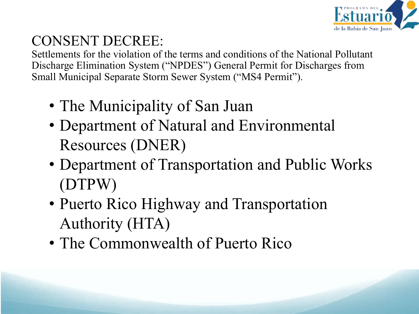

#### CONSENT DECREE:

Settlements for the violation of the terms and conditions of the National Pollutant Discharge Elimination System ("NPDES") General Permit for Discharges from Small Municipal Separate Storm Sewer System ("MS4 Permit").

- The Municipality of San Juan
- Department of Natural and Environmental Resources (DNER)
- Department of Transportation and Public Works (DTPW)
- Puerto Rico Highway and Transportation Authority (HTA)
- The Commonwealth of Puerto Rico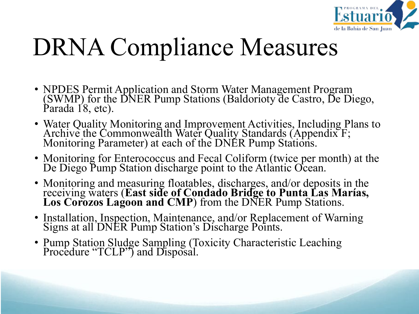

# DRNA Compliance Measures

- NPDES Permit Application and Storm Water Management Program (SWMP) for the DNER Pump Stations (Baldorioty de Castro, De Diego, Parada 18, etc).
- Water Quality Monitoring and Improvement Activities, Including Plans to Archive the Commonwealth Water Quality Standards (Appendix F;<br>Monitoring Parameter) at each of the DNER Pump Stations.
- Monitoring for Enterococcus and Fecal Coliform (twice per month) at the De Diego Pump Station discharge point to the Atlantic Ocean.
- Monitoring and measuring floatables, discharges, and/or deposits in the receiving waters (**East side of Condado Bridge to Punta Las Marías, Los Corozos Lagoon and CMP**) from the DNER Pump Stations.
- Installation, Inspection, Maintenance, and/or Replacement of Warning Signs at all DNER Pump Station's Discharge Points.
- Pump Station Sludge Sampling (Toxicity Characteristic Leaching Procedure "TCLP") and Disposal.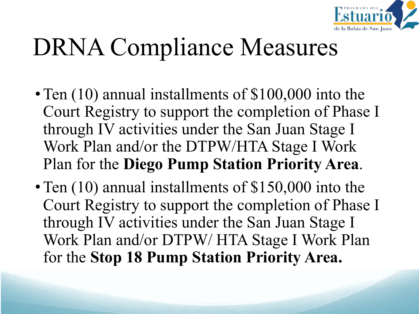

# DRNA Compliance Measures

- Ten (10) annual installments of \$100,000 into the Court Registry to support the completion of Phase I through IV activities under the San Juan Stage I Work Plan and/or the DTPW/HTA Stage I Work Plan for the **Diego Pump Station Priority Area**.
- Ten (10) annual installments of \$150,000 into the Court Registry to support the completion of Phase I through IV activities under the San Juan Stage I Work Plan and/or DTPW/ HTA Stage I Work Plan for the **Stop 18 Pump Station Priority Area.**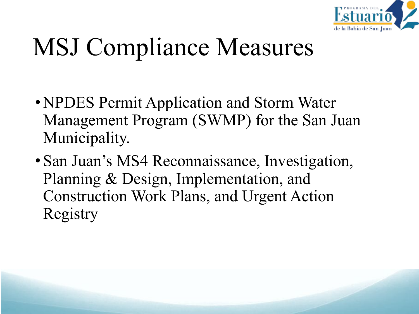

# MSJ Compliance Measures

- •NPDES Permit Application and Storm Water Management Program (SWMP) for the San Juan Municipality.
- San Juan's MS4 Reconnaissance, Investigation, Planning & Design, Implementation, and Construction Work Plans, and Urgent Action Registry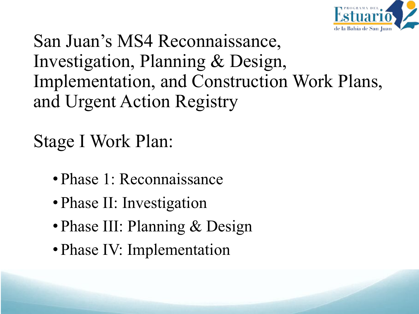

San Juan's MS4 Reconnaissance, Investigation, Planning & Design, Implementation, and Construction Work Plans, and Urgent Action Registry

Stage I Work Plan:

- Phase 1: Reconnaissance
- Phase II: Investigation
- Phase III: Planning & Design
- Phase IV: Implementation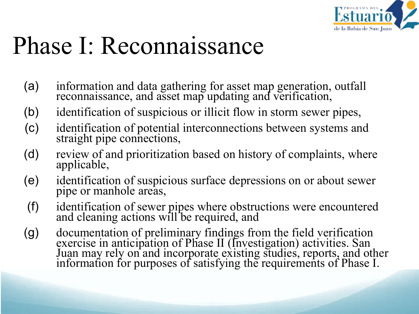

### Phase I: Reconnaissance

- (a) information and data gathering for asset map generation, outfall reconnaissance, and asset map updating and verification,
- (b) identification of suspicious or illicit flow in storm sewer pipes,
- (c) identification of potential interconnections between systems and straight pipe connections,
- (d) review of and prioritization based on history of complaints, where applicable,
- (e) identification of suspicious surface depressions on or about sewer pipe or manhole areas,
- (f) identification of sewer pipes where obstructions were encountered and cleaning actions will be required, and
- (g) documentation of preliminary findings from the field verification exercise in anticipation of Phase II (Investigation) activities. San Juan may rely on and incorporate existing studies, reports, and other information for purposes of satisfying the requirements of Phase I.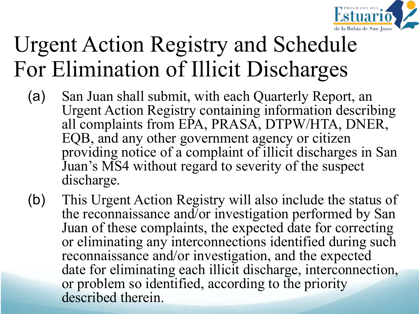

#### Urgent Action Registry and Schedule For Elimination of Illicit Discharges

- (a) San Juan shall submit, with each Quarterly Report, an Urgent Action Registry containing information describing all complaints from EPA, PRASA, DTPW/HTA, DNER, EQB, and any other government agency or citizen providing notice of a complaint of illicit discharges in San Juan's MS4 without regard to severity of the suspect discharge.
- (b) This Urgent Action Registry will also include the status of the reconnaissance and/or investigation performed by San Juan of these complaints, the expected date for correcting or eliminating any interconnections identified during such reconnaissance and/or investigation, and the expected date for eliminating each illicit discharge, interconnection, or problem so identified, according to the priority described therein.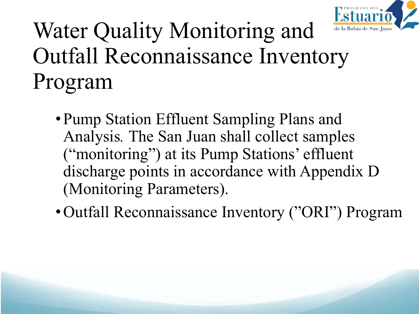

#### Water Quality Monitoring and Outfall Reconnaissance Inventory Program

- Pump Station Effluent Sampling Plans and Analysis*.* The San Juan shall collect samples ("monitoring") at its Pump Stations' effluent discharge points in accordance with Appendix D (Monitoring Parameters).
- Outfall Reconnaissance Inventory ("ORI") Program